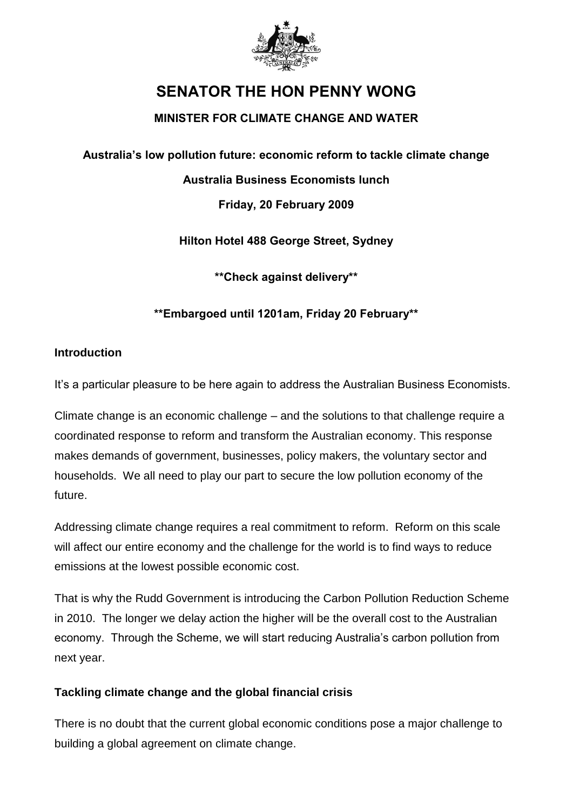

# **SENATOR THE HON PENNY WONG**

## **MINISTER FOR CLIMATE CHANGE AND WATER**

**Australia's low pollution future: economic reform to tackle climate change**

### **Australia Business Economists lunch**

**Friday, 20 February 2009** 

**Hilton Hotel 488 George Street, Sydney**

**\*\*Check against delivery\*\***

## **\*\*Embargoed until 1201am, Friday 20 February\*\***

#### **Introduction**

It's a particular pleasure to be here again to address the Australian Business Economists.

Climate change is an economic challenge – and the solutions to that challenge require a coordinated response to reform and transform the Australian economy. This response makes demands of government, businesses, policy makers, the voluntary sector and households. We all need to play our part to secure the low pollution economy of the future.

Addressing climate change requires a real commitment to reform. Reform on this scale will affect our entire economy and the challenge for the world is to find ways to reduce emissions at the lowest possible economic cost.

That is why the Rudd Government is introducing the Carbon Pollution Reduction Scheme in 2010. The longer we delay action the higher will be the overall cost to the Australian economy. Through the Scheme, we will start reducing Australia's carbon pollution from next year.

#### **Tackling climate change and the global financial crisis**

There is no doubt that the current global economic conditions pose a major challenge to building a global agreement on climate change.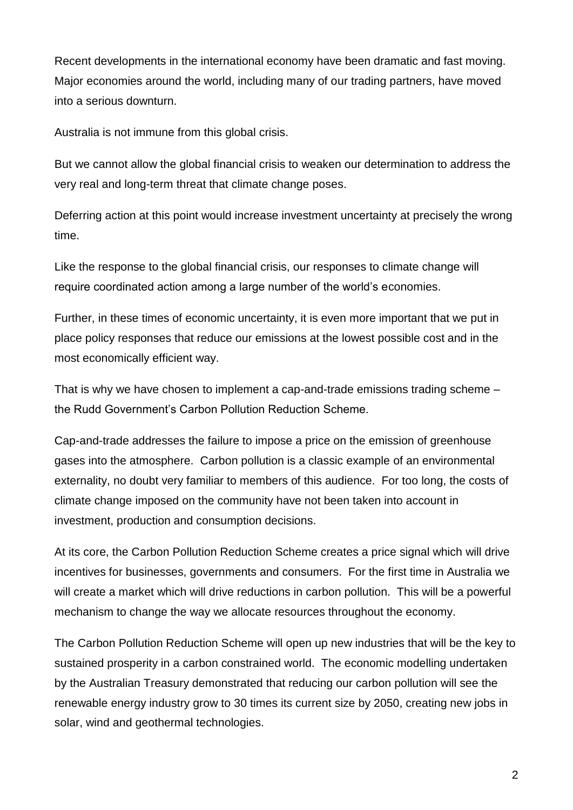Recent developments in the international economy have been dramatic and fast moving. Major economies around the world, including many of our trading partners, have moved into a serious downturn.

Australia is not immune from this global crisis.

But we cannot allow the global financial crisis to weaken our determination to address the very real and long-term threat that climate change poses.

Deferring action at this point would increase investment uncertainty at precisely the wrong time.

Like the response to the global financial crisis, our responses to climate change will require coordinated action among a large number of the world's economies.

Further, in these times of economic uncertainty, it is even more important that we put in place policy responses that reduce our emissions at the lowest possible cost and in the most economically efficient way.

That is why we have chosen to implement a cap-and-trade emissions trading scheme – the Rudd Government's Carbon Pollution Reduction Scheme.

Cap-and-trade addresses the failure to impose a price on the emission of greenhouse gases into the atmosphere. Carbon pollution is a classic example of an environmental externality, no doubt very familiar to members of this audience. For too long, the costs of climate change imposed on the community have not been taken into account in investment, production and consumption decisions.

At its core, the Carbon Pollution Reduction Scheme creates a price signal which will drive incentives for businesses, governments and consumers. For the first time in Australia we will create a market which will drive reductions in carbon pollution. This will be a powerful mechanism to change the way we allocate resources throughout the economy.

The Carbon Pollution Reduction Scheme will open up new industries that will be the key to sustained prosperity in a carbon constrained world. The economic modelling undertaken by the Australian Treasury demonstrated that reducing our carbon pollution will see the renewable energy industry grow to 30 times its current size by 2050, creating new jobs in solar, wind and geothermal technologies.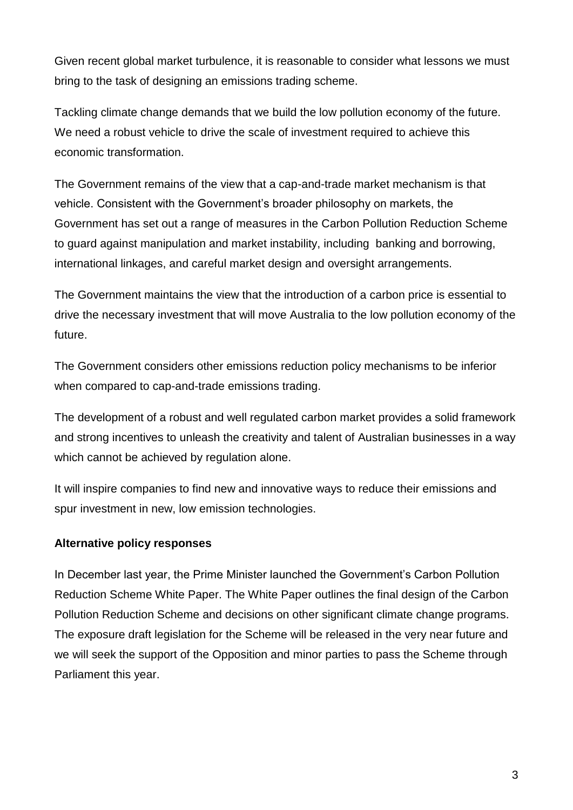Given recent global market turbulence, it is reasonable to consider what lessons we must bring to the task of designing an emissions trading scheme.

Tackling climate change demands that we build the low pollution economy of the future. We need a robust vehicle to drive the scale of investment required to achieve this economic transformation.

The Government remains of the view that a cap-and-trade market mechanism is that vehicle. Consistent with the Government's broader philosophy on markets, the Government has set out a range of measures in the Carbon Pollution Reduction Scheme to guard against manipulation and market instability, including banking and borrowing, international linkages, and careful market design and oversight arrangements.

The Government maintains the view that the introduction of a carbon price is essential to drive the necessary investment that will move Australia to the low pollution economy of the future.

The Government considers other emissions reduction policy mechanisms to be inferior when compared to cap-and-trade emissions trading.

The development of a robust and well regulated carbon market provides a solid framework and strong incentives to unleash the creativity and talent of Australian businesses in a way which cannot be achieved by regulation alone.

It will inspire companies to find new and innovative ways to reduce their emissions and spur investment in new, low emission technologies.

#### **Alternative policy responses**

In December last year, the Prime Minister launched the Government's Carbon Pollution Reduction Scheme White Paper. The White Paper outlines the final design of the Carbon Pollution Reduction Scheme and decisions on other significant climate change programs. The exposure draft legislation for the Scheme will be released in the very near future and we will seek the support of the Opposition and minor parties to pass the Scheme through Parliament this year.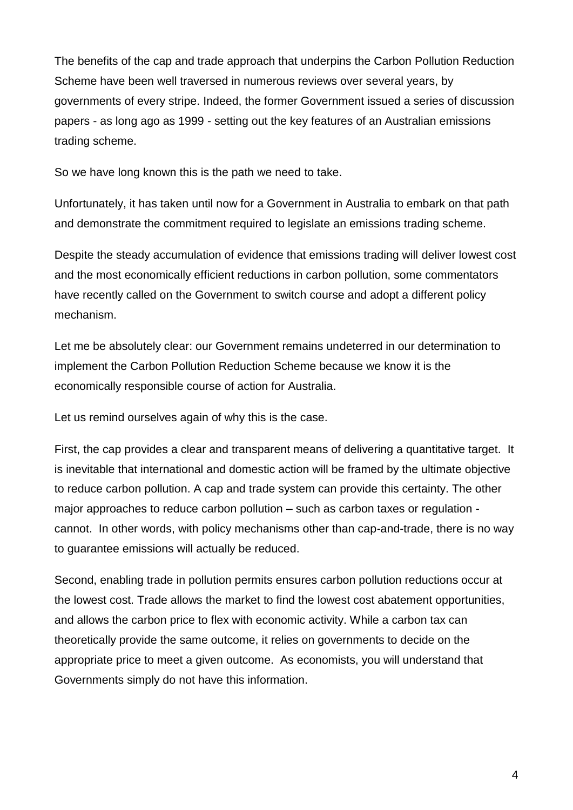The benefits of the cap and trade approach that underpins the Carbon Pollution Reduction Scheme have been well traversed in numerous reviews over several years, by governments of every stripe. Indeed, the former Government issued a series of discussion papers - as long ago as 1999 - setting out the key features of an Australian emissions trading scheme.

So we have long known this is the path we need to take.

Unfortunately, it has taken until now for a Government in Australia to embark on that path and demonstrate the commitment required to legislate an emissions trading scheme.

Despite the steady accumulation of evidence that emissions trading will deliver lowest cost and the most economically efficient reductions in carbon pollution, some commentators have recently called on the Government to switch course and adopt a different policy mechanism.

Let me be absolutely clear: our Government remains undeterred in our determination to implement the Carbon Pollution Reduction Scheme because we know it is the economically responsible course of action for Australia.

Let us remind ourselves again of why this is the case.

First, the cap provides a clear and transparent means of delivering a quantitative target. It is inevitable that international and domestic action will be framed by the ultimate objective to reduce carbon pollution. A cap and trade system can provide this certainty. The other major approaches to reduce carbon pollution – such as carbon taxes or regulation cannot. In other words, with policy mechanisms other than cap-and-trade, there is no way to guarantee emissions will actually be reduced.

Second, enabling trade in pollution permits ensures carbon pollution reductions occur at the lowest cost. Trade allows the market to find the lowest cost abatement opportunities, and allows the carbon price to flex with economic activity. While a carbon tax can theoretically provide the same outcome, it relies on governments to decide on the appropriate price to meet a given outcome. As economists, you will understand that Governments simply do not have this information.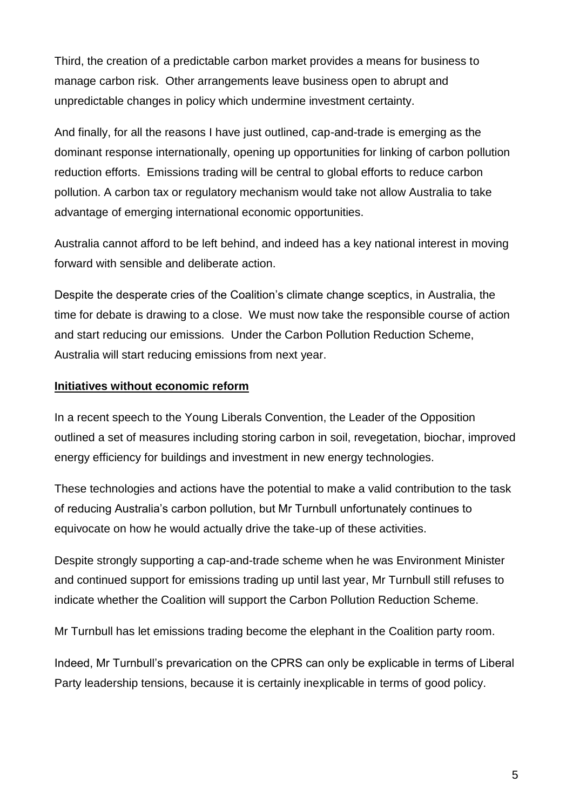Third, the creation of a predictable carbon market provides a means for business to manage carbon risk. Other arrangements leave business open to abrupt and unpredictable changes in policy which undermine investment certainty.

And finally, for all the reasons I have just outlined, cap-and-trade is emerging as the dominant response internationally, opening up opportunities for linking of carbon pollution reduction efforts. Emissions trading will be central to global efforts to reduce carbon pollution. A carbon tax or regulatory mechanism would take not allow Australia to take advantage of emerging international economic opportunities.

Australia cannot afford to be left behind, and indeed has a key national interest in moving forward with sensible and deliberate action.

Despite the desperate cries of the Coalition's climate change sceptics, in Australia, the time for debate is drawing to a close. We must now take the responsible course of action and start reducing our emissions. Under the Carbon Pollution Reduction Scheme, Australia will start reducing emissions from next year.

#### **Initiatives without economic reform**

In a recent speech to the Young Liberals Convention, the Leader of the Opposition outlined a set of measures including storing carbon in soil, revegetation, biochar, improved energy efficiency for buildings and investment in new energy technologies.

These technologies and actions have the potential to make a valid contribution to the task of reducing Australia's carbon pollution, but Mr Turnbull unfortunately continues to equivocate on how he would actually drive the take-up of these activities.

Despite strongly supporting a cap-and-trade scheme when he was Environment Minister and continued support for emissions trading up until last year, Mr Turnbull still refuses to indicate whether the Coalition will support the Carbon Pollution Reduction Scheme.

Mr Turnbull has let emissions trading become the elephant in the Coalition party room.

Indeed, Mr Turnbull's prevarication on the CPRS can only be explicable in terms of Liberal Party leadership tensions, because it is certainly inexplicable in terms of good policy.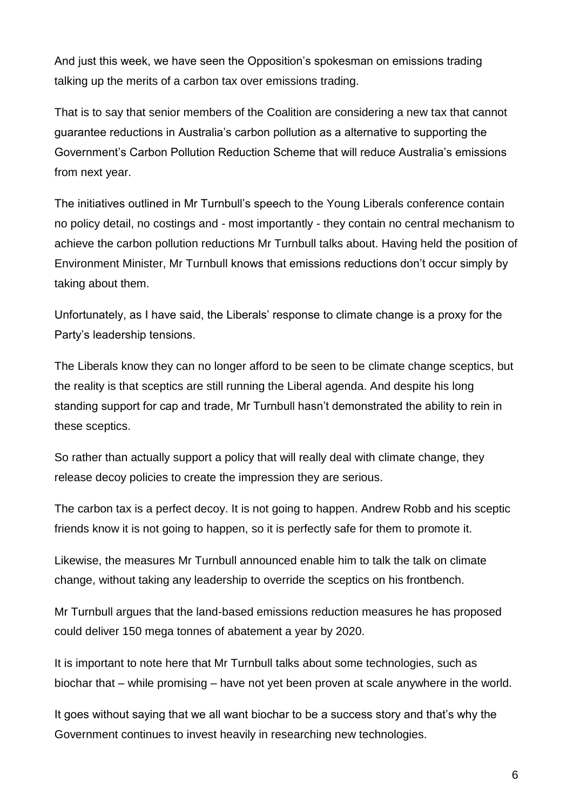And just this week, we have seen the Opposition's spokesman on emissions trading talking up the merits of a carbon tax over emissions trading.

That is to say that senior members of the Coalition are considering a new tax that cannot guarantee reductions in Australia's carbon pollution as a alternative to supporting the Government's Carbon Pollution Reduction Scheme that will reduce Australia's emissions from next year.

The initiatives outlined in Mr Turnbull's speech to the Young Liberals conference contain no policy detail, no costings and - most importantly - they contain no central mechanism to achieve the carbon pollution reductions Mr Turnbull talks about. Having held the position of Environment Minister, Mr Turnbull knows that emissions reductions don't occur simply by taking about them.

Unfortunately, as I have said, the Liberals' response to climate change is a proxy for the Party's leadership tensions.

The Liberals know they can no longer afford to be seen to be climate change sceptics, but the reality is that sceptics are still running the Liberal agenda. And despite his long standing support for cap and trade, Mr Turnbull hasn't demonstrated the ability to rein in these sceptics.

So rather than actually support a policy that will really deal with climate change, they release decoy policies to create the impression they are serious.

The carbon tax is a perfect decoy. It is not going to happen. Andrew Robb and his sceptic friends know it is not going to happen, so it is perfectly safe for them to promote it.

Likewise, the measures Mr Turnbull announced enable him to talk the talk on climate change, without taking any leadership to override the sceptics on his frontbench.

Mr Turnbull argues that the land-based emissions reduction measures he has proposed could deliver 150 mega tonnes of abatement a year by 2020.

It is important to note here that Mr Turnbull talks about some technologies, such as biochar that – while promising – have not yet been proven at scale anywhere in the world.

It goes without saying that we all want biochar to be a success story and that's why the Government continues to invest heavily in researching new technologies.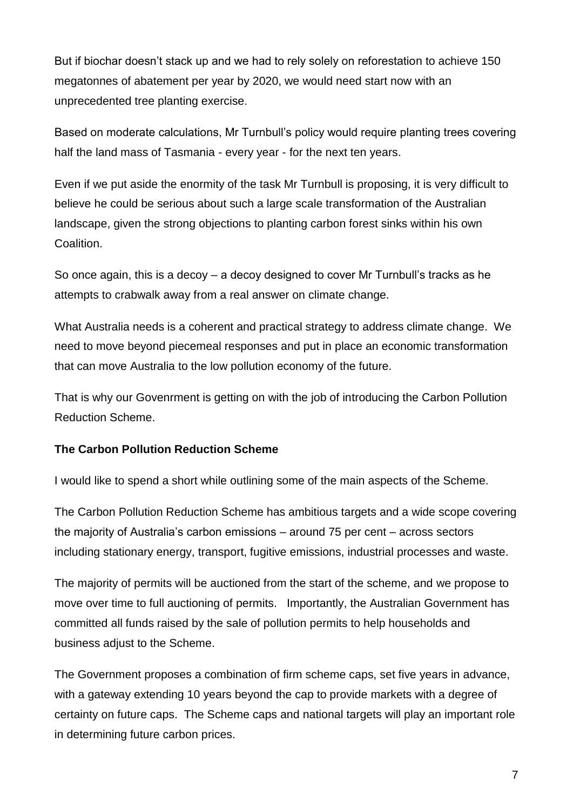But if biochar doesn't stack up and we had to rely solely on reforestation to achieve 150 megatonnes of abatement per year by 2020, we would need start now with an unprecedented tree planting exercise.

Based on moderate calculations, Mr Turnbull's policy would require planting trees covering half the land mass of Tasmania - every year - for the next ten years.

Even if we put aside the enormity of the task Mr Turnbull is proposing, it is very difficult to believe he could be serious about such a large scale transformation of the Australian landscape, given the strong objections to planting carbon forest sinks within his own Coalition.

So once again, this is a decoy – a decoy designed to cover Mr Turnbull's tracks as he attempts to crabwalk away from a real answer on climate change.

What Australia needs is a coherent and practical strategy to address climate change. We need to move beyond piecemeal responses and put in place an economic transformation that can move Australia to the low pollution economy of the future.

That is why our Govenrment is getting on with the job of introducing the Carbon Pollution Reduction Scheme.

#### **The Carbon Pollution Reduction Scheme**

I would like to spend a short while outlining some of the main aspects of the Scheme.

The Carbon Pollution Reduction Scheme has ambitious targets and a wide scope covering the majority of Australia's carbon emissions – around 75 per cent – across sectors including stationary energy, transport, fugitive emissions, industrial processes and waste.

The majority of permits will be auctioned from the start of the scheme, and we propose to move over time to full auctioning of permits. Importantly, the Australian Government has committed all funds raised by the sale of pollution permits to help households and business adjust to the Scheme.

The Government proposes a combination of firm scheme caps, set five years in advance, with a gateway extending 10 years beyond the cap to provide markets with a degree of certainty on future caps. The Scheme caps and national targets will play an important role in determining future carbon prices.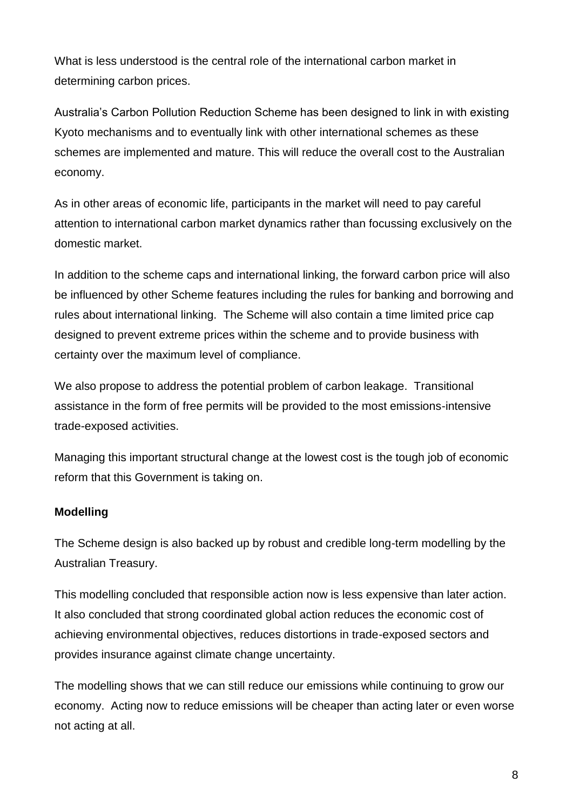What is less understood is the central role of the international carbon market in determining carbon prices.

Australia's Carbon Pollution Reduction Scheme has been designed to link in with existing Kyoto mechanisms and to eventually link with other international schemes as these schemes are implemented and mature. This will reduce the overall cost to the Australian economy.

As in other areas of economic life, participants in the market will need to pay careful attention to international carbon market dynamics rather than focussing exclusively on the domestic market.

In addition to the scheme caps and international linking, the forward carbon price will also be influenced by other Scheme features including the rules for banking and borrowing and rules about international linking. The Scheme will also contain a time limited price cap designed to prevent extreme prices within the scheme and to provide business with certainty over the maximum level of compliance.

We also propose to address the potential problem of carbon leakage. Transitional assistance in the form of free permits will be provided to the most emissions-intensive trade-exposed activities.

Managing this important structural change at the lowest cost is the tough job of economic reform that this Government is taking on.

## **Modelling**

The Scheme design is also backed up by robust and credible long-term modelling by the Australian Treasury.

This modelling concluded that responsible action now is less expensive than later action. It also concluded that strong coordinated global action reduces the economic cost of achieving environmental objectives, reduces distortions in trade-exposed sectors and provides insurance against climate change uncertainty.

The modelling shows that we can still reduce our emissions while continuing to grow our economy. Acting now to reduce emissions will be cheaper than acting later or even worse not acting at all.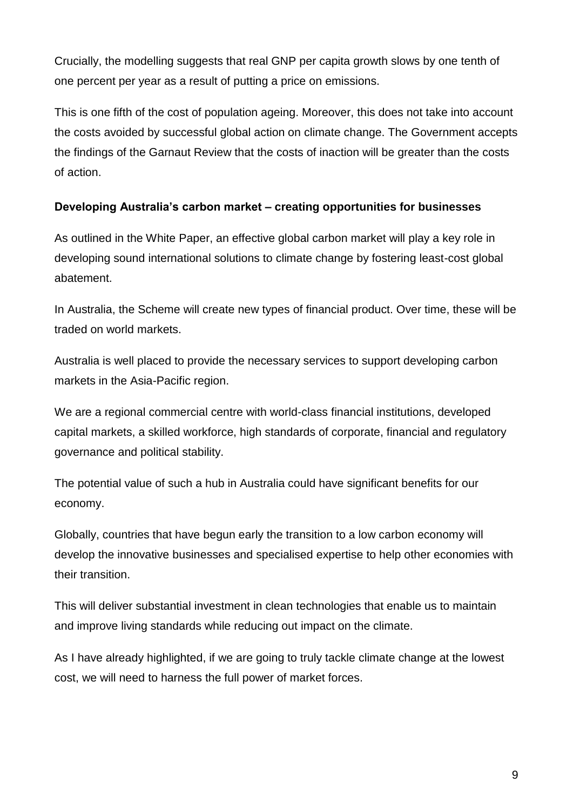Crucially, the modelling suggests that real GNP per capita growth slows by one tenth of one percent per year as a result of putting a price on emissions.

This is one fifth of the cost of population ageing. Moreover, this does not take into account the costs avoided by successful global action on climate change. The Government accepts the findings of the Garnaut Review that the costs of inaction will be greater than the costs of action.

## **Developing Australia's carbon market – creating opportunities for businesses**

As outlined in the White Paper, an effective global carbon market will play a key role in developing sound international solutions to climate change by fostering least-cost global abatement.

In Australia, the Scheme will create new types of financial product. Over time, these will be traded on world markets.

Australia is well placed to provide the necessary services to support developing carbon markets in the Asia-Pacific region.

We are a regional commercial centre with world-class financial institutions, developed capital markets, a skilled workforce, high standards of corporate, financial and regulatory governance and political stability.

The potential value of such a hub in Australia could have significant benefits for our economy.

Globally, countries that have begun early the transition to a low carbon economy will develop the innovative businesses and specialised expertise to help other economies with their transition.

This will deliver substantial investment in clean technologies that enable us to maintain and improve living standards while reducing out impact on the climate.

As I have already highlighted, if we are going to truly tackle climate change at the lowest cost, we will need to harness the full power of market forces.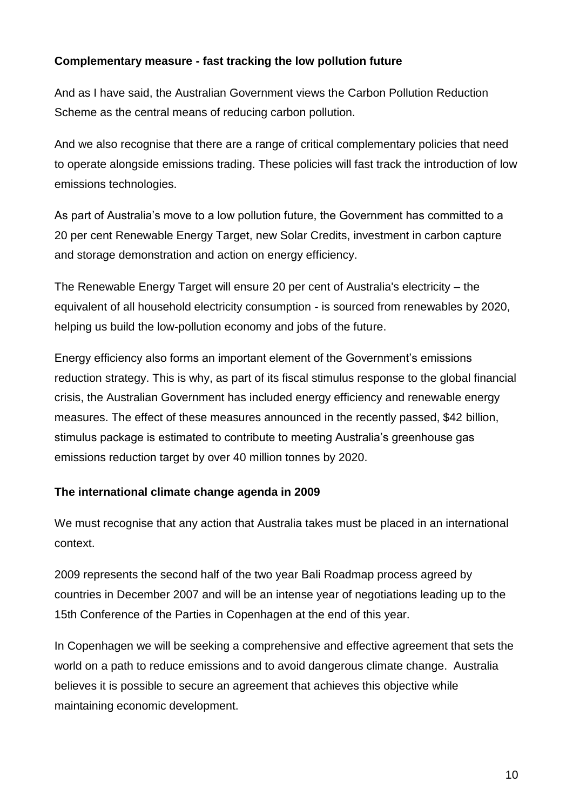## **Complementary measure - fast tracking the low pollution future**

And as I have said, the Australian Government views the Carbon Pollution Reduction Scheme as the central means of reducing carbon pollution.

And we also recognise that there are a range of critical complementary policies that need to operate alongside emissions trading. These policies will fast track the introduction of low emissions technologies.

As part of Australia's move to a low pollution future, the Government has committed to a 20 per cent Renewable Energy Target, new Solar Credits, investment in carbon capture and storage demonstration and action on energy efficiency.

The Renewable Energy Target will ensure 20 per cent of Australia's electricity – the equivalent of all household electricity consumption - is sourced from renewables by 2020, helping us build the low-pollution economy and jobs of the future.

Energy efficiency also forms an important element of the Government's emissions reduction strategy. This is why, as part of its fiscal stimulus response to the global financial crisis, the Australian Government has included energy efficiency and renewable energy measures. The effect of these measures announced in the recently passed, \$42 billion, stimulus package is estimated to contribute to meeting Australia's greenhouse gas emissions reduction target by over 40 million tonnes by 2020.

#### **The international climate change agenda in 2009**

We must recognise that any action that Australia takes must be placed in an international context.

2009 represents the second half of the two year Bali Roadmap process agreed by countries in December 2007 and will be an intense year of negotiations leading up to the 15th Conference of the Parties in Copenhagen at the end of this year.

In Copenhagen we will be seeking a comprehensive and effective agreement that sets the world on a path to reduce emissions and to avoid dangerous climate change. Australia believes it is possible to secure an agreement that achieves this objective while maintaining economic development.